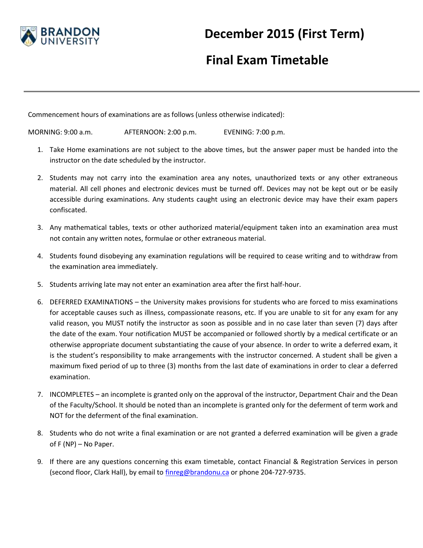

## **December 2015 (First Term)**

## **Final Exam Timetable**

Commencement hours of examinations are as follows (unless otherwise indicated):

MORNING: 9:00 a.m. AFTERNOON: 2:00 p.m. EVENING: 7:00 p.m.

- 1. Take Home examinations are not subject to the above times, but the answer paper must be handed into the instructor on the date scheduled by the instructor.
- 2. Students may not carry into the examination area any notes, unauthorized texts or any other extraneous material. All cell phones and electronic devices must be turned off. Devices may not be kept out or be easily accessible during examinations. Any students caught using an electronic device may have their exam papers confiscated.
- 3. Any mathematical tables, texts or other authorized material/equipment taken into an examination area must not contain any written notes, formulae or other extraneous material.
- 4. Students found disobeying any examination regulations will be required to cease writing and to withdraw from the examination area immediately.
- 5. Students arriving late may not enter an examination area after the first half-hour.
- 6. DEFERRED EXAMINATIONS the University makes provisions for students who are forced to miss examinations for acceptable causes such as illness, compassionate reasons, etc. If you are unable to sit for any exam for any valid reason, you MUST notify the instructor as soon as possible and in no case later than seven (7) days after the date of the exam. Your notification MUST be accompanied or followed shortly by a medical certificate or an otherwise appropriate document substantiating the cause of your absence. In order to write a deferred exam, it is the student's responsibility to make arrangements with the instructor concerned. A student shall be given a maximum fixed period of up to three (3) months from the last date of examinations in order to clear a deferred examination.
- 7. INCOMPLETES an incomplete is granted only on the approval of the instructor, Department Chair and the Dean of the Faculty/School. It should be noted than an incomplete is granted only for the deferment of term work and NOT for the deferment of the final examination.
- 8. Students who do not write a final examination or are not granted a deferred examination will be given a grade of F (NP) – No Paper.
- 9. If there are any questions concerning this exam timetable, contact Financial & Registration Services in person (second floor, Clark Hall), by email to [finreg@brandonu.ca](mailto:finreg@brandonu.ca) or phone 204-727-9735.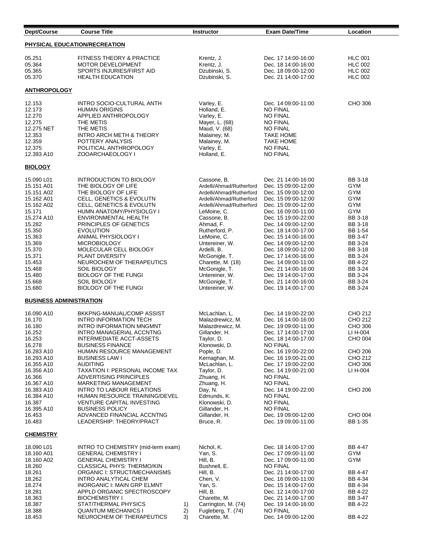| Dept/Course                    | <b>Course Title</b>                                     |          | <b>Instructor</b>                         | <b>Exam Date/Time</b>                      | Location           |
|--------------------------------|---------------------------------------------------------|----------|-------------------------------------------|--------------------------------------------|--------------------|
| PHYSICAL EDUCATION/RECREATION  |                                                         |          |                                           |                                            |                    |
| 05.251                         | FITNESS THEORY & PRACTICE                               |          | Krentz, J.                                | Dec. 17 14:00-16:00                        | <b>HLC 001</b>     |
| 05.364                         | MOTOR DEVELOPMENT                                       |          | Krentz, J.                                | Dec. 18 14:00-16:00                        | <b>HLC 002</b>     |
| 05.365                         | SPORTS INJURIES/FIRST AID                               |          | Dzubinski, S.                             | Dec. 18 09:00-12:00                        | <b>HLC 002</b>     |
| 05.370                         | <b>HEALTH EDUCATION</b>                                 |          | Dzubinski, S.                             | Dec. 21 14:00-17:00                        | <b>HLC 002</b>     |
| <b>ANTHROPOLOGY</b>            |                                                         |          |                                           |                                            |                    |
| 12.153                         | INTRO SOCIO-CULTURAL ANTH                               |          | Varley, E.                                | Dec. 14 09:00-11:00                        | CHO 306            |
| 12.173                         | <b>HUMAN ORIGINS</b>                                    |          | Holland, E.                               | <b>NO FINAL</b>                            |                    |
| 12.270                         | APPLIED ANTHROPOLOGY                                    |          | Varley, E.                                | <b>NO FINAL</b>                            |                    |
| 12.275                         | THE METIS                                               |          | Mayer, L. (68)                            | <b>NO FINAL</b>                            |                    |
| 12.275 NET                     | THE METIS                                               |          | Maud, V. (68)                             | <b>NO FINAL</b>                            |                    |
| 12.353                         | INTRO ARCH METH & THEORY                                |          | Malainey, M.                              | <b>TAKE HOME</b>                           |                    |
| 12.359<br>12.375               | POTTERY ANALYSIS<br>POLITICAL ANTHROPOLOGY              |          | Malainey, M.<br>Varley, E.                | <b>TAKE HOME</b><br><b>NO FINAL</b>        |                    |
| 12.393 A10                     | ZOOARCHAEOLOGY I                                        |          | Holland, E.                               | <b>NO FINAL</b>                            |                    |
| <b>BIOLOGY</b>                 |                                                         |          |                                           |                                            |                    |
| 15.090 L01                     | <b>INTRODUCTION TO BIOLOGY</b>                          |          | Cassone, B.                               | Dec. 21 14:00-16:00                        | BB 3-18            |
| 15.151 A01                     | THE BIOLOGY OF LIFE                                     |          | Ardelli/Ahmad/Rutherford                  | Dec. 15 09:00-12:00                        | GYM                |
| 15.151 A02                     | THE BIOLOGY OF LIFE                                     |          | Ardelli/Ahmad/Rutherford                  | Dec. 15 09:00-12:00                        | GYM                |
| 15.162 A01                     | CELL, GENETICS & EVOLUTN                                |          | Ardelli/Ahmad/Rutherford                  | Dec. 15 09:00-12:00                        | GYM                |
| 15.162 A02                     | CELL, GENETICS & EVOLUTN                                |          | Ardelli/Ahmad/Rutherford                  | Dec. 15 09:00-12:00                        | <b>GYM</b>         |
| 15.171                         | HUMN ANATOMY/PHYSIOLGY I                                |          | LeMoine, C.                               | Dec. 16 09:00-11:00                        | GYM                |
| 15.274 A10                     | ENVIRONMENTAL HEALTH                                    |          | Cassone, B.                               | Dec. 15 19:00-22:00                        | <b>BB 3-18</b>     |
| 15.282                         | PRINCIPLES OF GENETICS                                  |          | Ahmad. F.                                 | Dec. 14 09:00-12:00                        | BB 3-18            |
| 15.350                         | <b>EVOLUTION</b>                                        |          | Rutherford, P.                            | Dec. 18 14:00-17:00                        | BB 1-54            |
| 15.363                         | ANIMAL PHYSIOLOGY I                                     |          | LeMoine, C.                               | Dec. 15 14:00-16:00                        | <b>BB 3-47</b>     |
| 15.369                         | <b>MICROBIOLOGY</b>                                     |          | Untereiner, W.                            | Dec. 14 09:00-12:00                        | BB 3-24            |
| 15.370                         | MOLECULAR CELL BIOLOGY                                  |          | Ardelli, B.                               | Dec. 18 09:00-12:00                        | BB 3-18            |
| 15.371                         | <b>PLANT DIVERSITY</b>                                  |          | McGonigle, T.                             | Dec. 17 14:00-16:00                        | BB 3-24            |
| 15.453<br>15.468               | NEUROCHEM OF THERAPEUTICS<br><b>SOIL BIOLOGY</b>        |          | Charette, M. (18)<br>McGonigle, T.        | Dec. 14 09:00-11:00<br>Dec. 21 14:00-16:00 | BB 4-22<br>BB 3-24 |
| 15.480                         | <b>BIOLOGY OF THE FUNGI</b>                             |          | Untereiner, W.                            | Dec. 19 14:00-17:00                        | BB 3-24            |
| 15.668                         | <b>SOIL BIOLOGY</b>                                     |          | McGonigle, T.                             | Dec. 21 14:00-16:00                        | BB 3-24            |
| 15.680                         | <b>BIOLOGY OF THE FUNGI</b>                             |          | Untereiner, W.                            | Dec. 19 14:00-17:00                        | BB 3-24            |
| <b>BUSINESS ADMINISTRATION</b> |                                                         |          |                                           |                                            |                    |
| 16.090 A10                     | BKKPNG-MANUAL/COMP ASSIST                               |          | McLachlan, L.                             | Dec. 14 19:00-22:00                        | CHO 212            |
| 16.170                         | <b>INTRO INFORMATION TECH</b>                           |          | Malazdrewicz, M.                          | Dec. 16 14:00-16:00                        | CHO 212            |
| 16.180                         | INTRO INFORMATION MNGMNT                                |          | Malazdrewicz, M.                          | Dec. 19 09:00-11:00                        | CHO 306            |
| 16.252                         | INTRO MANAGERIAL ACCNTNG                                |          | Gillander, H.                             | Dec. 17 14:00-17:00                        | LI H-004           |
| 16.253                         | INTERMEDIATE ACCT-ASSETS                                |          | Taylor, D.                                | Dec. 18 14:00-17:00                        | <b>CHO 004</b>     |
| 16.278                         | <b>BUSINESS FINANCE</b>                                 |          | Klonowski, D.                             | <b>NO FINAL</b>                            |                    |
| 16.283 A10                     | HUMAN RESOURCE MANAGEMENT                               |          | Pople, D.                                 | Dec. 16 19:00-22:00                        | CHO 206            |
| 16.293 A10                     | <b>BUSINESS LAW I</b>                                   |          | Kernaghan, M.                             | Dec. 16 19:00-21:00                        | CHO 212            |
| 16.355 A10                     | <b>AUDITING</b>                                         |          | McLachlan. L.                             | Dec. 17 19:00-22:00                        | CHO 306            |
| 16.356 A10                     | <b>TAXATION I: PERSONAL INCOME TAX</b>                  |          | Taylor, D.<br>Zhuang, H.                  | Dec. 14 19:00-21:00                        | LI H-004           |
| 16.366<br>16.367 A10           | <b>ADVERTISING PRINCIPLES</b><br>MARKETING MANAGEMENT   |          | Zhuang, H.                                | <b>NO FINAL</b><br><b>NO FINAL</b>         |                    |
| 16.383 A10                     | <b>INTRO TO LABOUR RELATIONS</b>                        |          | Day, N.                                   | Dec. 14 19:00-22:00                        | CHO 206            |
| 16.384 A10                     | HUMAN RESOURCE TRAINING/DEVEL                           |          | Edmunds, K.                               | <b>NO FINAL</b>                            |                    |
| 16.387                         | VENTURE CAPITAL INVESTING                               |          | Klonowski, D.                             | <b>NO FINAL</b>                            |                    |
| 16.395 A10                     | <b>BUSINESS POLICY</b>                                  |          | Gillander, H.                             | <b>NO FINAL</b>                            |                    |
| 16.453                         | ADVANCED FINANCIAL ACCNTNG                              |          | Gillander, H.                             | Dec. 19 09:00-12:00                        | CHO 004            |
| 16.483                         | LEADERSHIP: THEORY/PRACT                                |          | Bruce, R.                                 | Dec. 19 09:00-11:00                        | BB 1-35            |
| <b>CHEMISTRY</b>               |                                                         |          |                                           |                                            |                    |
| 18.090 L01                     | INTRO TO CHEMISTRY (mid-term exam)                      |          | Nichol, K.                                | Dec. 18 14:00-17:00                        | BB 4-47            |
| 18.160 A01                     | <b>GENERAL CHEMISTRY I</b>                              |          | Yan, S.                                   | Dec. 17 09:00-11:00                        | GYM                |
| 18.160 A02                     | <b>GENERAL CHEMISTRY I</b>                              |          | Hill, B.                                  | Dec. 17 09:00-11:00                        | GYM                |
| 18.260                         | CLASSICAL PHYS: THERMO/KIN                              |          | Bushnell, E.                              | <b>NO FINAL</b>                            |                    |
| 18.261                         | ORGANIC I: STRUCT/MECHANISMS                            |          | Hill, B.                                  | Dec. 21 14:00-17:00                        | BB 4-47            |
| 18.262                         | INTRO ANALYTICAL CHEM                                   |          | Chen, V.                                  | Dec. 16 09:00-11:00                        | BB 4-34            |
| 18.274                         | <b>INORGANIC I: MAIN GRP ELMNT</b>                      |          | Yan, S.                                   | Dec. 15 14:00-17:00                        | BB 4-34            |
| 18.281                         | APPLD ORGANIC SPECTROSCOPY                              |          | Hill, B.                                  | Dec. 12 14:00-17:00                        | BB 4-22            |
| 18.363                         | <b>BIOCHEMISTRY I</b>                                   |          | Charette, M.                              | Dec. 21 14:00-17:00                        | BB 3-47            |
| 18.387                         | STAT/THERMAL PHYSICS                                    | 1)       | Carrington, M. (74)<br>Fugleberg, T. (74) | Dec. 19 14:00-16:00                        | BB 4-22            |
| 18.388<br>18.453               | <b>QUANTUM MECHANICS I</b><br>NEUROCHEM OF THERAPEUTICS | 2)<br>3) | Charette, M.                              | <b>NO FINAL</b><br>Dec. 14 09:00-12:00     | BB 4-22            |
|                                |                                                         |          |                                           |                                            |                    |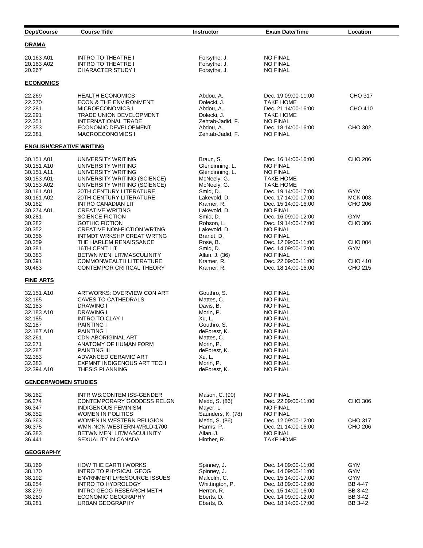| Dept/Course                                                                                                                                    | <b>Course Title</b>                                                                                                                                                                                                                                                                                          | <b>Instructor</b>                                                                                                                                                              | <b>Exam Date/Time</b>                                                                                                                                                                                                                        | Location                                                      |  |
|------------------------------------------------------------------------------------------------------------------------------------------------|--------------------------------------------------------------------------------------------------------------------------------------------------------------------------------------------------------------------------------------------------------------------------------------------------------------|--------------------------------------------------------------------------------------------------------------------------------------------------------------------------------|----------------------------------------------------------------------------------------------------------------------------------------------------------------------------------------------------------------------------------------------|---------------------------------------------------------------|--|
| DRAMA                                                                                                                                          |                                                                                                                                                                                                                                                                                                              |                                                                                                                                                                                |                                                                                                                                                                                                                                              |                                                               |  |
| 20.163 A01<br>20.163 A02<br>20.267                                                                                                             | <b>INTRO TO THEATRE I</b><br><b>INTRO TO THEATRE I</b><br><b>CHARACTER STUDY I</b>                                                                                                                                                                                                                           | Forsythe, J.<br>Forsythe, J.<br>Forsythe, J.                                                                                                                                   | <b>NO FINAL</b><br><b>NO FINAL</b><br><b>NO FINAL</b>                                                                                                                                                                                        |                                                               |  |
| <b>ECONOMICS</b>                                                                                                                               |                                                                                                                                                                                                                                                                                                              |                                                                                                                                                                                |                                                                                                                                                                                                                                              |                                                               |  |
| 22.269<br>22.270                                                                                                                               | <b>HEALTH ECONOMICS</b><br><b>ECON &amp; THE ENVIRONMENT</b>                                                                                                                                                                                                                                                 | Abdou, A.<br>Dolecki, J.                                                                                                                                                       | Dec. 19 09:00-11:00<br><b>TAKE HOME</b>                                                                                                                                                                                                      | CHO 317                                                       |  |
| 22.281<br>22.291<br>22.351                                                                                                                     | <b>MICROECONOMICS I</b><br><b>TRADE UNION DEVELOPMENT</b><br><b>INTERNATIONAL TRADE</b>                                                                                                                                                                                                                      | Abdou, A.<br>Dolecki, J.<br>Zehtab-Jadid, F.                                                                                                                                   | Dec. 21 14:00-16:00<br><b>TAKE HOME</b><br><b>NO FINAL</b>                                                                                                                                                                                   | CHO 410                                                       |  |
| 22.353<br>22.381                                                                                                                               | ECONOMIC DEVELOPMENT<br>MACROECONOMICS I                                                                                                                                                                                                                                                                     | Abdou, A.<br>Zehtab-Jadid, F.                                                                                                                                                  | Dec. 18 14:00-16:00<br><b>NO FINAL</b>                                                                                                                                                                                                       | CHO 302                                                       |  |
| <b>ENGLISH/CREATIVE WRITING</b>                                                                                                                |                                                                                                                                                                                                                                                                                                              |                                                                                                                                                                                |                                                                                                                                                                                                                                              |                                                               |  |
| 30.151 A01<br>30.151 A10<br>30.151 A11<br>30.153 A01<br>30.153 A02                                                                             | UNIVERSITY WRITING<br>UNIVERSITY WRITING<br>UNIVERSITY WRITING<br>UNIVERSITY WRITING (SCIENCE)<br>UNIVERSITY WRITING (SCIENCE)                                                                                                                                                                               | Braun, S.<br>Glendinning, L.<br>Glendinning, L.<br>McNeely, G.<br>McNeely, G.                                                                                                  | Dec. 16 14:00-16:00<br><b>NO FINAL</b><br><b>NO FINAL</b><br><b>TAKE HOME</b><br><b>TAKE HOME</b>                                                                                                                                            | CHO 206                                                       |  |
| 30.161 A01<br>30.161 A02<br>30.162<br>30.274 A01                                                                                               | 20TH CENTURY LITERATURE<br>20TH CENTURY LITERATURE<br><b>INTRO CANADIAN LIT</b><br><b>CREATIVE WRITING</b>                                                                                                                                                                                                   | Smid, D.<br>Lakevold, D.<br>Kramer, R.<br>Lakevold, D.                                                                                                                         | Dec. 19 14:00-17:00<br>Dec. 17 14:00-17:00<br>Dec. 15 14:00-16:00<br><b>NO FINAL</b>                                                                                                                                                         | GYM<br><b>MCK 003</b><br>CHO 206                              |  |
| 30.281<br>30.282<br>30.352<br>30.356                                                                                                           | <b>SCIENCE FICTION</b><br><b>GOTHIC FICTION</b><br><b>CREATIVE NON-FICTION WRTNG</b><br>INTMDT WRKSHP CREAT WRTNG                                                                                                                                                                                            | Smid, D.<br>Robson, L.<br>Lakevold, D.<br>Brandt, D.                                                                                                                           | Dec. 16 09:00-12:00<br>Dec. 19 14:00-17:00<br><b>NO FINAL</b><br><b>NO FINAL</b>                                                                                                                                                             | GYM<br>CHO 306                                                |  |
| 30.359<br>30.381<br>30.383                                                                                                                     | THE HARLEM RENAISSANCE<br><b>16TH CENT LIT</b><br>BETWN MEN: LIT/MASCULINITY                                                                                                                                                                                                                                 | Rose, B.<br>Smid, D.<br>Allan, J. (36)                                                                                                                                         | Dec. 12 09:00-11:00<br>Dec. 14 09:00-12:00<br><b>NO FINAL</b>                                                                                                                                                                                | CHO 004<br>GYM                                                |  |
| 30.391<br>30.463                                                                                                                               | COMMONWEALTH LITERATURE<br>CONTEMPOR CRITICAL THEORY                                                                                                                                                                                                                                                         | Kramer, R.<br>Kramer, R.                                                                                                                                                       | Dec. 22 09:00-11:00<br>Dec. 18 14:00-16:00                                                                                                                                                                                                   | CHO 410<br>CHO 215                                            |  |
| FINE ARTS                                                                                                                                      |                                                                                                                                                                                                                                                                                                              |                                                                                                                                                                                |                                                                                                                                                                                                                                              |                                                               |  |
| 32.151 A10<br>32.165<br>32.183<br>32.183 A10<br>32.185<br>32.187<br>32.187 A10<br>32.261<br>32.271<br>32.287<br>32.353<br>32.383<br>32.394 A10 | ARTWORKS: OVERVIEW CON ART<br><b>CAVES TO CATHEDRALS</b><br>DRAWING I<br>DRAWING I<br><b>INTRO TO CLAY I</b><br><b>PAINTING I</b><br><b>PAINTING I</b><br>CDN ABORIGINAL ART<br>ANATOMY OF HUMAN FORM<br><b>PAINTING III</b><br>ADVANCED CERAMIC ART<br>EXPMNT INDIGENOUS ART TECH<br><b>THESIS PLANNING</b> | Gouthro, S.<br>Mattes, C.<br>Davis, B.<br>Morin, P.<br>Xu, L.<br>Gouthro, S.<br>deForest, K.<br>Mattes, C.<br>Morin, P.<br>deForest, K.<br>Xu, L.<br>Morin, P.<br>deForest, K. | <b>NO FINAL</b><br><b>NO FINAL</b><br><b>NO FINAL</b><br><b>NO FINAL</b><br><b>NO FINAL</b><br><b>NO FINAL</b><br><b>NO FINAL</b><br>NO FINAL<br><b>NO FINAL</b><br><b>NO FINAL</b><br><b>NO FINAL</b><br><b>NO FINAL</b><br><b>NO FINAL</b> |                                                               |  |
| <u>GENDER/WOMEN STUDIES</u>                                                                                                                    |                                                                                                                                                                                                                                                                                                              |                                                                                                                                                                                |                                                                                                                                                                                                                                              |                                                               |  |
| 36.162<br>36.274<br>36.347<br>36.352<br>36.363<br>36.375<br>36.383<br>36.441                                                                   | INTR WS:CONTEM ISS-GENDER<br>CONTEMPORARY GODDESS RELGN<br><b>INDIGENOUS FEMINISM</b><br><b>WOMEN IN POLITICS</b><br>WOMEN IN WESTERN RELIGION<br>WMN-NON-WESTERN-WRLD-1700<br>BETWN MEN: LIT/MASCULINITY<br>SEXUALITY IN CANADA                                                                             | Mason, C. (90)<br>Medd, S. (86)<br>Mayer, L.<br>Saunders, K. (78)<br>Medd, S. (86)<br>Harms, P.<br>Allan, J.<br>Hinther, R.                                                    | <b>NO FINAL</b><br>Dec. 22 09:00-11:00<br><b>NO FINAL</b><br><b>NO FINAL</b><br>Dec. 12 09:00-12:00<br>Dec. 21 14:00-16:00<br><b>NO FINAL</b><br><b>TAKE HOME</b>                                                                            | CHO 306<br><b>CHO 317</b><br>CHO 206                          |  |
| <b>GEOGRAPHY</b>                                                                                                                               |                                                                                                                                                                                                                                                                                                              |                                                                                                                                                                                |                                                                                                                                                                                                                                              |                                                               |  |
| 38.169<br>38.170<br>38.192<br>38.254<br>38.279<br>38.280<br>38.281                                                                             | HOW THE EARTH WORKS<br><b>INTRO TO PHYSICAL GEOG</b><br>ENVRNMENTL/RESOURCE ISSUES<br><b>INTRO TO HYDROLOGY</b><br>INTRO GEOG RESEARCH METH<br>ECONOMIC GEOGRAPHY<br>URBAN GEOGRAPHY                                                                                                                         | Spinney, J.<br>Spinney, J.<br>Malcolm, C.<br>Whittington, P.<br>Herron, R.<br>Eberts, D.<br>Eberts, D.                                                                         | Dec. 14 09:00-11:00<br>Dec. 14 09:00-11:00<br>Dec. 15 14:00-17:00<br>Dec. 18 09:00-12:00<br>Dec. 15 14:00-16:00<br>Dec. 14 09:00-12:00<br>Dec. 18 14:00-17:00                                                                                | GYM<br>GYM<br>GYM<br>BB 4-47<br>BB 3-42<br>BB 3-42<br>BB 3-42 |  |

l,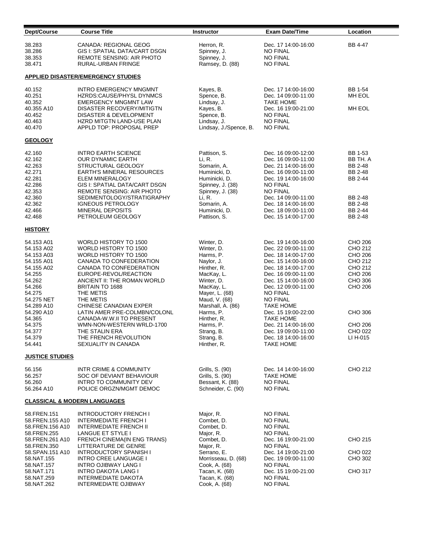| Dept/Course                                                                                                                                                                                            | <b>Course Title</b>                                                                                                                                                                                                                                                                                                                                                                                                            | <b>Instructor</b>                                                                                                                                                                                                                                        | <b>Exam Date/Time</b>                                                                                                                                                                                                                                                                                                                                                              | Location                                                                                                                          |  |
|--------------------------------------------------------------------------------------------------------------------------------------------------------------------------------------------------------|--------------------------------------------------------------------------------------------------------------------------------------------------------------------------------------------------------------------------------------------------------------------------------------------------------------------------------------------------------------------------------------------------------------------------------|----------------------------------------------------------------------------------------------------------------------------------------------------------------------------------------------------------------------------------------------------------|------------------------------------------------------------------------------------------------------------------------------------------------------------------------------------------------------------------------------------------------------------------------------------------------------------------------------------------------------------------------------------|-----------------------------------------------------------------------------------------------------------------------------------|--|
| 38.283<br>38.286<br>38.353<br>38.471                                                                                                                                                                   | <b>CANADA: REGIONAL GEOG</b><br><b>GIS I: SPATIAL DATA/CART DSGN</b><br><b>REMOTE SENSING: AIR PHOTO</b><br>RURAL-URBAN FRINGE                                                                                                                                                                                                                                                                                                 | Herron, R.<br>Spinney, J.<br>Spinney, J.<br>Ramsey, D. (88)                                                                                                                                                                                              | Dec. 17 14:00-16:00<br><b>NO FINAL</b><br><b>NO FINAL</b><br><b>NO FINAL</b>                                                                                                                                                                                                                                                                                                       | BB 4-47                                                                                                                           |  |
|                                                                                                                                                                                                        | APPLIED DISASTER/EMERGENCY STUDIES                                                                                                                                                                                                                                                                                                                                                                                             |                                                                                                                                                                                                                                                          |                                                                                                                                                                                                                                                                                                                                                                                    |                                                                                                                                   |  |
| 40.152<br>40.251<br>40.352<br>40.355 A10<br>40.452<br>40.463<br>40.470                                                                                                                                 | <b>INTRO EMERGENCY MNGMNT</b><br>HZRDS:CAUSE/PHYSL DYNMCS<br><b>EMERGENCY MNGMNT LAW</b><br>DISASTER RECOVERY/MITIGTN<br>DISASTER & DEVELOPMENT<br>HZRD MITGTN LAND-USE PLAN<br>APPLD TOP: PROPOSAL PREP                                                                                                                                                                                                                       | Kayes, B.<br>Spence, B.<br>Lindsay, J.<br>Kayes, B.<br>Spence, B.<br>Lindsay, J.<br>Lindsay, J./Spence, B.                                                                                                                                               | Dec. 17 14:00-16:00<br>Dec. 14 09:00-11:00<br><b>TAKE HOME</b><br>Dec. 16 19:00-21:00<br><b>NO FINAL</b><br><b>NO FINAL</b><br><b>NO FINAL</b>                                                                                                                                                                                                                                     | BB 1-54<br>MH EOL<br>MH EOL                                                                                                       |  |
| <b>GEOLOGY</b>                                                                                                                                                                                         |                                                                                                                                                                                                                                                                                                                                                                                                                                |                                                                                                                                                                                                                                                          |                                                                                                                                                                                                                                                                                                                                                                                    |                                                                                                                                   |  |
| 42.160<br>42.162<br>42.263<br>42.271<br>42.281<br>42.286<br>42.353<br>42.360<br>42.362<br>42.466<br>42.468                                                                                             | <b>INTRO EARTH SCIENCE</b><br><b>OUR DYNAMIC EARTH</b><br>STRUCTURAL GEOLOGY<br><b>EARTH'S MINERAL RESOURCES</b><br><b>ELEM MINERALOGY</b><br>GIS I: SPATIAL DATA/CART DSGN<br><b>REMOTE SENSING: AIR PHOTO</b><br>SEDIMENTOLOGY/STRATIGRAPHY<br><b>IGNEOUS PETROLOGY</b><br><b>MINERAL DEPOSITS</b><br>PETROLEUM GEOLOGY                                                                                                      | Pattison, S.<br>Li, R.<br>Somarin, A.<br>Huminicki, D.<br>Huminicki, D.<br>Spinney, J. (38)<br>Spinney, J. (38)<br>Li, R.<br>Somarin, A.<br>Huminicki, D.<br>Pattison, S.                                                                                | Dec. 16 09:00-12:00<br>Dec. 16 09:00-11:00<br>Dec. 21 14:00-16:00<br>Dec. 16 09:00-11:00<br>Dec. 19 14:00-16:00<br><b>NO FINAL</b><br><b>NO FINAL</b><br>Dec. 14 09:00-11:00<br>Dec. 18 14:00-16:00<br>Dec. 18 09:00-11:00<br>Dec. 15 14:00-17:00                                                                                                                                  | BB 1-53<br>BB TH. A<br>BB 2-48<br>BB 2-48<br>BB 2-44<br>BB 2-48<br>BB 2-48<br>BB 2-44<br>BB 2-48                                  |  |
| <b>HISTORY</b>                                                                                                                                                                                         |                                                                                                                                                                                                                                                                                                                                                                                                                                |                                                                                                                                                                                                                                                          |                                                                                                                                                                                                                                                                                                                                                                                    |                                                                                                                                   |  |
| 54.153 A01<br>54.153 A02<br>54.153 A03<br>54.155 A01<br>54.155 A02<br>54.255<br>54.262<br>54.266<br>54.275<br>54.275 NET<br>54.289 A10<br>54.290 A10<br>54.365<br>54.375<br>54.377<br>54.379<br>54.441 | WORLD HISTORY TO 1500<br>WORLD HISTORY TO 1500<br>WORLD HISTORY TO 1500<br>CANADA TO CONFEDERATION<br>CANADA TO CONFEDERATION<br>EUROPE-REVOL/REACTION<br>ANCIENT II: THE ROMAN WORLD<br>BRITAIN TO 1688<br>THE METIS<br>THE METIS<br><b>CHINESE CANADIAN EXPER</b><br>LATIN AMER PRE-COLMBN/COLONL<br>CANADA-W.W.II TO PRESENT<br>WMN-NON-WESTERN WRLD-1700<br>THE STALIN ERA<br>THE FRENCH REVOLUTION<br>SEXUALITY IN CANADA | Winter, D.<br>Winter, D.<br>Harms, P.<br>Naylor, J.<br>Hinther, R.<br>MacKay, L.<br>Winter, D.<br>MacKay, L.<br>Mayer, L. (68)<br>Maud, V. (68)<br>Marshall, A. (86)<br>Harms, P.<br>Hinther, R.<br>Harms, P.<br>Strang, B.<br>Strang, B.<br>Hinther, R. | Dec. 19 14:00-16:00<br>Dec. 22 09:00-11:00<br>Dec. 18 14:00-17:00<br>Dec. 15 14:00-16:00<br>Dec. 18 14:00-17:00<br>Dec. 16 09:00-11:00<br>Dec. 15 14:00-16:00<br>Dec. 12 09:00-11:00<br><b>NO FINAL</b><br><b>NO FINAL</b><br><b>TAKE HOME</b><br>Dec. 15 19:00-22:00<br><b>TAKE HOME</b><br>Dec. 21 14:00-16:00<br>Dec. 19 09:00-11:00<br>Dec. 18 14:00-16:00<br><b>TAKE HOME</b> | CHO 206<br>CHO 212<br>CHO 206<br>CHO 212<br>CHO 212<br>CHO 206<br>CHO 306<br>CHO 206<br>CHO 306<br>CHO 206<br>CHO 022<br>LI H-015 |  |
| <b>JUSTICE STUDIES</b>                                                                                                                                                                                 |                                                                                                                                                                                                                                                                                                                                                                                                                                |                                                                                                                                                                                                                                                          |                                                                                                                                                                                                                                                                                                                                                                                    |                                                                                                                                   |  |
| 56.156<br>56.257<br>56.260<br>56.264 A10                                                                                                                                                               | <b>INTR CRIME &amp; COMMUNITY</b><br>SOC OF DEVIANT BEHAVIOUR<br>INTRO TO COMMUNITY DEV<br>POLICE ORGZN/MGMT DEMOC                                                                                                                                                                                                                                                                                                             | Grills, S. (90)<br>Grills, S. (90)<br>Bessant, K. (88)<br>Schneider, C. (90)                                                                                                                                                                             | Dec. 14 14:00-16:00<br><b>TAKE HOME</b><br>NO FINAL<br><b>NO FINAL</b>                                                                                                                                                                                                                                                                                                             | CHO 212                                                                                                                           |  |
| <b>CLASSICAL &amp; MODERN LANGUAGES</b>                                                                                                                                                                |                                                                                                                                                                                                                                                                                                                                                                                                                                |                                                                                                                                                                                                                                                          |                                                                                                                                                                                                                                                                                                                                                                                    |                                                                                                                                   |  |
| 58.FREN.151<br>58.FREN.155 A10<br>58.FREN.156 A10<br>58.FREN.255<br>58.FREN.261 A10<br>58.FREN.350<br>58.SPAN.151 A10<br>58.NAT.155<br>58.NAT.157<br>58.NAT.171<br>58.NAT.259<br>58.NAT.262            | <b>INTRODUCTORY FRENCH I</b><br><b>INTERMEDIATE FRENCH I</b><br><b>INTERMEDIATE FRENCH II</b><br>LANGUE ET STYLE I<br>FRENCH CINEMA(IN ENG TRANS)<br>LITTERATURE DE GENRE<br><b>INTRODUCTORY SPANISH I</b><br>INTRO CREE LANGUAGE I<br><b>INTRO OJIBWAY LANG I</b><br><b>INTRO DAKOTA LANG I</b><br>INTERMEDIATE DAKOTA<br><b>INTERMEDIATE OJIBWAY</b>                                                                         | Major, R.<br>Combet, D.<br>Combet, D.<br>Major, R.<br>Combet, D.<br>Major, R.<br>Serrano, E.<br>Morrisseau, D. (68)<br>Cook, A. (68)<br>Tacan, K. (68)<br>Tacan, K. (68)<br>Cook, A. (68)                                                                | <b>NO FINAL</b><br><b>NO FINAL</b><br><b>NO FINAL</b><br><b>NO FINAL</b><br>Dec. 16 19:00-21:00<br><b>NO FINAL</b><br>Dec. 14 19:00-21:00<br>Dec. 19 09:00-11:00<br><b>NO FINAL</b><br>Dec. 15 19:00-21:00<br><b>NO FINAL</b><br><b>NO FINAL</b>                                                                                                                                   | CHO 215<br>CHO 022<br>CHO 302<br><b>CHO 317</b>                                                                                   |  |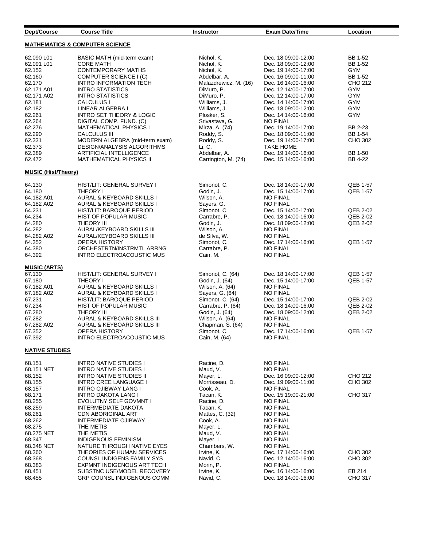| Dept/Course                               | <b>Course Title</b>                                      | <b>Instructor</b>                 | <b>Exam Date/Time</b>                      | Location             |  |
|-------------------------------------------|----------------------------------------------------------|-----------------------------------|--------------------------------------------|----------------------|--|
| <b>MATHEMATICS &amp; COMPUTER SCIENCE</b> |                                                          |                                   |                                            |                      |  |
| 62.090 L01<br>62.091 L01                  | BASIC MATH (mid-term exam)<br><b>CORE MATH</b>           | Nichol, K.<br>Nichol, K.          | Dec. 18 09:00-12:00<br>Dec. 18 09:00-12:00 | BB 1-52<br>BB 1-52   |  |
| 62.152                                    | <b>CONTEMPORARY MATHS</b>                                | Nichol, K.                        | Dec. 19 14:00-17:00                        | <b>GYM</b>           |  |
| 62.160                                    | <b>COMPUTER SCIENCE I (C)</b>                            | Abdelbar, A.                      | Dec. 16 09:00-11:00                        | BB 1-52              |  |
| 62.170                                    | <b>INTRO INFORMATION TECH</b>                            | Malazdrewicz, M. (16)             | Dec. 16 14:00-16:00                        | CHO 212              |  |
| 62.171 A01                                | <b>INTRO STATISTICS</b>                                  | DiMuro, P.                        | Dec. 12 14:00-17:00                        | GYM                  |  |
| 62.171 A02                                | <b>INTRO STATISTICS</b>                                  | DiMuro, P.                        | Dec. 12 14:00-17:00                        | GYM                  |  |
| 62.181                                    | CALCULUS I                                               | Williams, J.                      | Dec. 14 14:00-17:00                        | GYM                  |  |
| 62.182                                    | LINEAR ALGEBRA I                                         | Williams, J.                      | Dec. 18 09:00-12:00                        | <b>GYM</b>           |  |
| 62.261                                    | <b>INTRO SET THEORY &amp; LOGIC</b>                      | Plosker, S.                       | Dec. 14 14:00-16:00                        | GYM                  |  |
| 62.264                                    | DIGITAL COMP. FUND. (C)                                  | Srivastava, G.                    | <b>NO FINAL</b>                            |                      |  |
| 62.276                                    | <b>MATHEMATICAL PHYSICS I</b>                            | Mirza, A. (74)                    | Dec. 19 14:00-17:00                        | BB 2-23              |  |
| 62.290                                    | <b>CALCULUS III</b>                                      | Roddy, S.                         | Dec. 18 09:00-11:00                        | BB 1-54              |  |
| 62.331                                    | MODERN ALGEBRA (mid-term exam)                           | Roddy, S.                         | Dec. 19 14:00-17:00                        | CHO 302              |  |
| 62.373                                    | <b>DESIGN/ANALYSIS ALGORITHMS</b>                        | Li, C.                            | <b>TAKE HOME</b>                           |                      |  |
| 62.389                                    | <b>ARTIFICIAL INTELLIGENCE</b>                           | Abdelbar, A.                      | Dec. 19 14:00-16:00                        | BB 1-50              |  |
| 62.472                                    | <b>MATHEMATICAL PHYSICS II</b>                           | Carrington, M. (74)               | Dec. 15 14:00-16:00                        | BB 4-22              |  |
| <b>MUSIC (Hist/Theory)</b>                |                                                          |                                   |                                            |                      |  |
| 64.130                                    | HIST/LIT: GENERAL SURVEY I                               | Simonot, C.                       | Dec. 18 14:00-17:00                        | QEB 1-57             |  |
| 64.180                                    | THEORY I                                                 | Godin. J.                         | Dec. 15 14:00-17:00                        | QEB 1-57             |  |
| 64.182 A01                                | AURAL & KEYBOARD SKILLS I                                | Wilson, A.                        | <b>NO FINAL</b>                            |                      |  |
| 64.182 A02                                | AURAL & KEYBOARD SKILLS I                                | Sayers, G.                        | <b>NO FINAL</b>                            |                      |  |
| 64.231                                    | HIST/LIT: BAROQUE PERIOD                                 | Simonot, C.                       | Dec. 15 14:00-17:00                        | QEB 2-02             |  |
| 64.234                                    | HIST OF POPULAR MUSIC                                    | Carrabre, P.                      | Dec. 18 14:00-16:00                        | QEB 2-02             |  |
| 64.280                                    | <b>THEORY III</b>                                        | Godin, J.                         | Dec. 18 09:00-12:00                        | QEB 2-02             |  |
| 64.282                                    | AURAL/KEYBOARD SKILLS III                                | Wilson, A.                        | <b>NO FINAL</b>                            |                      |  |
| 64.282 A02                                | AURAL/KEYBOARD SKILLS III                                | de Silva, W.                      | <b>NO FINAL</b>                            |                      |  |
| 64.352                                    | <b>OPERA HISTORY</b>                                     | Simonot, C.                       | Dec. 17 14:00-16:00                        | QEB 1-57             |  |
| 64.380                                    | ORCHESTRTN/INSTRMTL ARRNG                                | Carrabre, P.                      | <b>NO FINAL</b>                            |                      |  |
| 64.392                                    | INTRO ELECTROACOUSTIC MUS                                | Cain, M.                          | <b>NO FINAL</b>                            |                      |  |
| <b>MUSIC (ARTS)</b>                       |                                                          |                                   |                                            |                      |  |
| 67.130                                    | HIST/LIT: GENERAL SURVEY I                               | Simonot, C. (64)                  | Dec. 18 14:00-17:00                        | QEB 1-57             |  |
| 67.180                                    | <b>THEORY I</b>                                          | Godin, J. (64)                    | Dec. 15 14:00-17:00                        | QEB 1-57             |  |
| 67.182 A01                                | AURAL & KEYBOARD SKILLS I                                | Wilson, A. (64)                   | <b>NO FINAL</b>                            |                      |  |
| 67.182 A02                                | AURAL & KEYBOARD SKILLS I                                | Sayers, G. (64)                   | <b>NO FINAL</b>                            |                      |  |
| 67.231<br>67.234                          | HIST/LIT: BAROQUE PERIOD<br>HIST OF POPULAR MUSIC        | Simonot, C. (64)                  | Dec. 15 14:00-17:00                        | QEB 2-02<br>QEB 2-02 |  |
| 67.280                                    | <b>THEORY III</b>                                        | Carrabre, P. (64)                 | Dec. 18 14:00-16:00<br>Dec. 18 09:00-12:00 | QEB 2-02             |  |
| 67.282                                    | AURAL & KEYBOARD SKILLS III                              | Godin, J. (64)<br>Wilson, A. (64) | <b>NO FINAL</b>                            |                      |  |
| 67.282 A02                                | AURAL & KEYBOARD SKILLS III                              | Chapman, S. (64)                  | <b>NO FINAL</b>                            |                      |  |
| 67.352                                    | <b>OPERA HISTORY</b>                                     | Simonot, C.                       | Dec. 17 14:00-16:00                        | QEB 1-57             |  |
| 67.392                                    | INTRO ELECTROACOUSTIC MUS                                | Cain, M. (64)                     | <b>NO FINAL</b>                            |                      |  |
| <b>NATIVE STUDIES</b>                     |                                                          |                                   |                                            |                      |  |
| 68.151                                    | <b>INTRO NATIVE STUDIES I</b>                            | Racine, D.                        | <b>NO FINAL</b>                            |                      |  |
| 68.151 NET                                | <b>INTRO NATIVE STUDIES I</b>                            | Maud, V.                          | <b>NO FINAL</b>                            |                      |  |
| 68.152                                    | <b>INTRO NATIVE STUDIES II</b>                           | Mayer, L.                         | Dec. 16 09:00-12:00                        | CHO 212              |  |
| 68.155                                    | INTRO CREE LANGUAGE I                                    | Morrisseau. D.                    | Dec. 19 09:00-11:00                        | CHO 302              |  |
| 68.157                                    | INTRO OJIBWAY LANG I                                     | Cook, A.                          | <b>NO FINAL</b>                            |                      |  |
| 68.171                                    | INTRO DAKOTA LANG I                                      | Tacan, K.                         | Dec. 15 19:00-21:00                        | CHO 317              |  |
| 68.255                                    | EVOLUTNY SELF GOVMNT I                                   | Racine, D.                        | <b>NO FINAL</b>                            |                      |  |
| 68.259                                    | INTERMEDIATE DAKOTA                                      | Tacan, K.                         | <b>NO FINAL</b>                            |                      |  |
| 68.261                                    | <b>CDN ABORIGINAL ART</b>                                | Mattes, C. (32)                   | <b>NO FINAL</b>                            |                      |  |
| 68.262                                    | <b>INTERMEDIATE OJIBWAY</b>                              | Cook, A.                          | <b>NO FINAL</b>                            |                      |  |
| 68.275                                    | THE METIS                                                | Mayer, L.                         | <b>NO FINAL</b>                            |                      |  |
| 68.275 NET                                | THE METIS                                                | Maud, V.                          | <b>NO FINAL</b>                            |                      |  |
| 68.347                                    | <b>INDIGENOUS FEMINISM</b>                               | Mayer, L.                         | <b>NO FINAL</b>                            |                      |  |
| 68.348 NET                                | NATURE THROUGH NATIVE EYES                               | Chambers, W.                      | <b>NO FINAL</b>                            |                      |  |
| 68.360<br>68.368                          | THEORIES OF HUMAN SERVICES<br>COUNSL INDIGENS FAMILY SYS | Irvine, K.<br>Navid, C.           | Dec. 17 14:00-16:00<br>Dec. 12 14:00-16:00 | CHO 302<br>CHO 302   |  |
| 68.383                                    | EXPMNT INDIGENOUS ART TECH                               | Morin, P.                         | <b>NO FINAL</b>                            |                      |  |
| 68.451                                    | SUBSTNC USE/MODEL RECOVERY                               | Irvine, K.                        | Dec. 16 14:00-16:00                        | EB 214               |  |
| 68.455                                    | <b>GRP COUNSL INDIGENOUS COMM</b>                        | Navid, C.                         | Dec. 18 14:00-16:00                        | CHO 317              |  |
|                                           |                                                          |                                   |                                            |                      |  |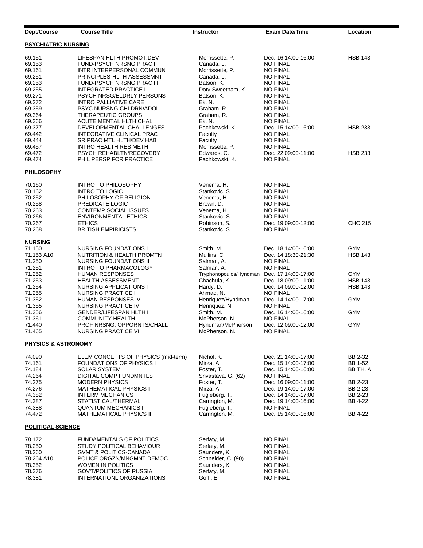| Dept/Course                    | <b>Course Title</b>                                       | <b>Instructor</b>                                        | <b>Exam Date/Time</b>                      | Location           |  |
|--------------------------------|-----------------------------------------------------------|----------------------------------------------------------|--------------------------------------------|--------------------|--|
| <b>PSYCHIATRIC NURSING</b>     |                                                           |                                                          |                                            |                    |  |
| 69.151                         | LIFESPAN HLTH PROMOT:DEV                                  | Morrissette, P.                                          | Dec. 16 14:00-16:00                        | <b>HSB 143</b>     |  |
| 69.153                         | FUND-PSYCH NRSNG PRAC II                                  | Canada, L.                                               | <b>NO FINAL</b>                            |                    |  |
| 69.161                         | INTR INTERPERSONAL COMMUN                                 | Morrissette, P.                                          | <b>NO FINAL</b>                            |                    |  |
| 69.251                         | PRINCIPLES-HLTH ASSESSMNT                                 | Canada, L.                                               | <b>NO FINAL</b>                            |                    |  |
| 69.253                         | FUND-PSYCH NRSNG PRAC III                                 | Batson, K.                                               | <b>NO FINAL</b>                            |                    |  |
| 69.255<br>69.271               | <b>INTEGRATED PRACTICE I</b><br>PSYCH NRSG/ELDRLY PERSONS | Doty-Sweetnam, K.<br>Batson, K.                          | <b>NO FINAL</b><br><b>NO FINAL</b>         |                    |  |
| 69.272                         | <b>INTRO PALLIATIVE CARE</b>                              | Ek, N.                                                   | <b>NO FINAL</b>                            |                    |  |
| 69.359                         | PSYC NURSNG CHLDRN/ADOL                                   | Graham, R.                                               | <b>NO FINAL</b>                            |                    |  |
| 69.364                         | <b>THERAPEUTIC GROUPS</b>                                 | Graham, R.                                               | <b>NO FINAL</b>                            |                    |  |
| 69.366                         | ACUTE MENTAL HLTH CHAL                                    | Ek, N.                                                   | <b>NO FINAL</b>                            |                    |  |
| 69.377                         | DEVELOPMENTAL CHALLENGES                                  | Pachkowski, K.                                           | Dec. 15 14:00-16:00                        | <b>HSB 233</b>     |  |
| 69.442                         | INTEGRATIVE CLINICAL PRAC                                 | Faculty                                                  | NO FINAL                                   |                    |  |
| 69.444                         | SR PRAC MTL HLTH/DEV HAB                                  | Faculty                                                  | <b>NO FINAL</b>                            |                    |  |
| 69.457                         | <b>INTRO HEALTH RES METH</b>                              | Morrissette, P.                                          | <b>NO FINAL</b>                            |                    |  |
| 69.472                         | PSYCH REHABLTN/RECOVERY                                   | Edwards, C.                                              | Dec. 22 09:00-11:00                        | <b>HSB 233</b>     |  |
| 69.474                         | PHIL PERSP FOR PRACTICE                                   | Pachkowski, K.                                           | <b>NO FINAL</b>                            |                    |  |
| <b>PHILOSOPHY</b>              |                                                           |                                                          |                                            |                    |  |
| 70.160                         | <b>INTRO TO PHILOSOPHY</b>                                | Venema, H.                                               | <b>NO FINAL</b>                            |                    |  |
| 70.162                         | <b>INTRO TO LOGIC</b>                                     | Stankovic, S.                                            | <b>NO FINAL</b>                            |                    |  |
| 70.252                         | PHILOSOPHY OF RELIGION                                    | Venema, H.                                               | <b>NO FINAL</b>                            |                    |  |
| 70.258<br>70.263               | PREDICATE LOGIC<br>CONTEMP SOCIAL ISSUES                  | Brown, D.<br>Venema, H.                                  | <b>NO FINAL</b><br><b>NO FINAL</b>         |                    |  |
| 70.266                         | <b>ENVIRONMENTAL ETHICS</b>                               | Stankovic, S.                                            | <b>NO FINAL</b>                            |                    |  |
| 70.267                         | <b>ETHICS</b>                                             | Robinson, S.                                             | Dec. 19 09:00-12:00                        | CHO 215            |  |
| 70.268                         | <b>BRITISH EMPIRICISTS</b>                                | Stankovic, S.                                            | <b>NO FINAL</b>                            |                    |  |
| <b>NURSING</b>                 |                                                           |                                                          |                                            |                    |  |
| 71.150                         | NURSING FOUNDATIONS I                                     | Smith, M.                                                | Dec. 18 14:00-16:00                        | GYM                |  |
| 71.153 A10                     | NUTRITION & HEALTH PROMTN                                 | Mullins, C.                                              | Dec. 14 18:30-21:30                        | HSB 143            |  |
| 71.250                         | NURSING FOUNDATIONS II                                    | Salman, A.                                               | <b>NO FINAL</b>                            |                    |  |
| 71.251<br>71.252               | INTRO TO PHARMACOLOGY<br>HUMAN RESPONSES I                | Salman, A.<br>Tryphonopoulos/Hyndman Dec. 17 14:00-17:00 | <b>NO FINAL</b>                            | GYM                |  |
| 71.253                         | <b>HEALTH ASSESSMENT</b>                                  | Chachula, K.                                             | Dec. 18 09:00-11:00                        | <b>HSB 143</b>     |  |
| 71.254                         | NURSING APPLICATIONS I                                    | Hardy, D.                                                | Dec. 14 09:00-12:00                        | <b>HSB 143</b>     |  |
| 71.255                         | <b>NURSING PRACTICE I</b>                                 | Ahmad, N.                                                | <b>NO FINAL</b>                            |                    |  |
| 71.352                         | HUMAN RESPONSES IV                                        | Henriquez/Hyndman                                        | Dec. 14 14:00-17:00                        | GYM                |  |
| 71.355                         | NURSING PRACTICE IV                                       | Henriquez, N.                                            | <b>NO FINAL</b>                            |                    |  |
| 71.356                         | <b>GENDER/LIFESPAN HLTH I</b>                             | Smith, M.                                                | Dec. 16 14:00-16:00                        | GYM                |  |
| 71.361                         | <b>COMMUNITY HEALTH</b>                                   | McPherson, N.                                            | <b>NO FINAL</b>                            |                    |  |
| 71.440                         | PROF NRSNG: OPPORNTS/CHALL                                | Hyndman/McPherson                                        | Dec. 12 09:00-12:00                        | GYM                |  |
| 71.465                         | NURSING PRACTICE VII                                      | McPherson, N.                                            | <b>NO FINAL</b>                            |                    |  |
| <b>PHYSICS &amp; ASTRONOMY</b> |                                                           |                                                          |                                            |                    |  |
| 74.090                         | ELEM CONCEPTS OF PHYSICS (mid-term)                       | Nichol, K.                                               | Dec. 21 14:00-17:00                        | BB 2-32            |  |
| 74.161                         | <b>FOUNDATIONS OF PHYSICS I</b>                           | Mirza, A.                                                | Dec. 15 14:00-17:00                        | BB 1-52            |  |
| 74.184                         | <b>SOLAR SYSTEM</b>                                       | Foster, T.                                               | Dec. 15 14:00-16:00                        | BB TH. A           |  |
| 74.264                         | DIGITAL COMP FUNDMNTLS                                    | Srivastava, G. (62)                                      | <b>NO FINAL</b>                            |                    |  |
| 74.275                         | <b>MODERN PHYSICS</b>                                     | Foster, T.<br>Mirza, A.                                  | Dec. 16 09:00-11:00<br>Dec. 19 14:00-17:00 | BB 2-23            |  |
| 74.276<br>74.382               | <b>MATHEMATICAL PHYSICS I</b><br><b>INTERM MECHANICS</b>  | Fugleberg, T.                                            | Dec. 14 14:00-17:00                        | BB 2-23<br>BB 2-23 |  |
| 74.387                         | STATISTICAL/THERMAL                                       | Carrington, M.                                           | Dec. 19 14:00-16:00                        | BB 4-22            |  |
| 74.388                         | <b>QUANTUM MECHANICS I</b>                                | Fugleberg, T.                                            | <b>NO FINAL</b>                            |                    |  |
| 74.472                         | <b>MATHEMATICAL PHYSICS II</b>                            | Carrington, M.                                           | Dec. 15 14:00-16:00                        | <b>BB 4-22</b>     |  |
| POLITICAL SCIENCE              |                                                           |                                                          |                                            |                    |  |
| 78.172                         | <b>FUNDAMENTALS OF POLITICS</b>                           | Serfaty, M.                                              | <b>NO FINAL</b>                            |                    |  |
| 78.250                         | STUDY POLITICAL BEHAVIOUR                                 | Serfaty, M.                                              | <b>NO FINAL</b>                            |                    |  |
| 78.260                         | <b>GVMT &amp; POLITICS-CANADA</b>                         | Saunders, K.                                             | NO FINAL                                   |                    |  |
| 78.264 A10                     | POLICE ORGZN/MNGMNT DEMOC                                 | Schneider, C. (90)                                       | <b>NO FINAL</b>                            |                    |  |
| 78.352                         | <b>WOMEN IN POLITICS</b>                                  | Saunders, K.                                             | <b>NO FINAL</b>                            |                    |  |
| 78.376                         | <b>GOV'T/POLITICS OF RUSSIA</b>                           | Serfaty, M.                                              | <b>NO FINAL</b>                            |                    |  |
| 78.381                         | INTERNATIONL ORGANIZATIONS                                | Goffi, E.                                                | <b>NO FINAL</b>                            |                    |  |